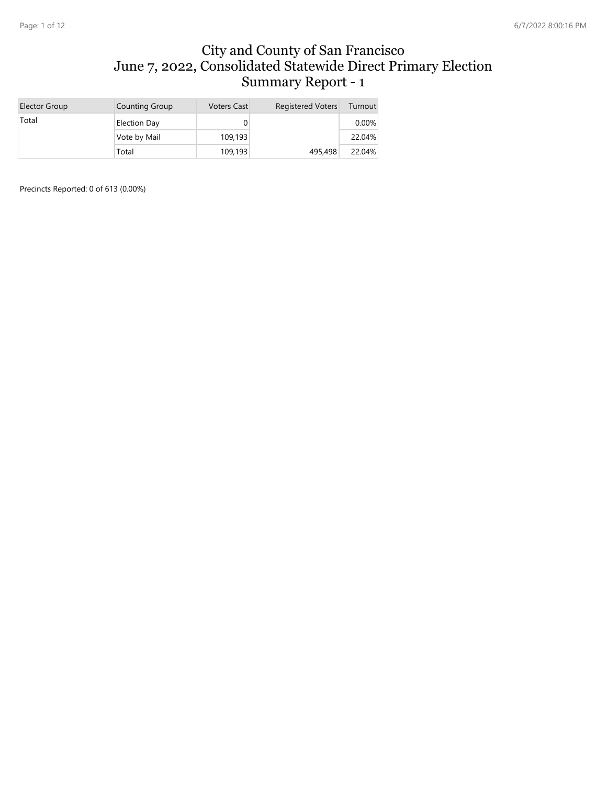#### City and County of San Francisco June 7, 2022, Consolidated Statewide Direct Primary Election Summary Report - 1

| Elector Group | Counting Group | <b>Voters Cast</b> | <b>Registered Voters</b> | Turnout  |
|---------------|----------------|--------------------|--------------------------|----------|
| Total         | Election Day   |                    |                          | $0.00\%$ |
|               | Vote by Mail   | 109,193            |                          | 22.04%   |
|               | Total          | 109,193            | 495,498                  | 22.04%   |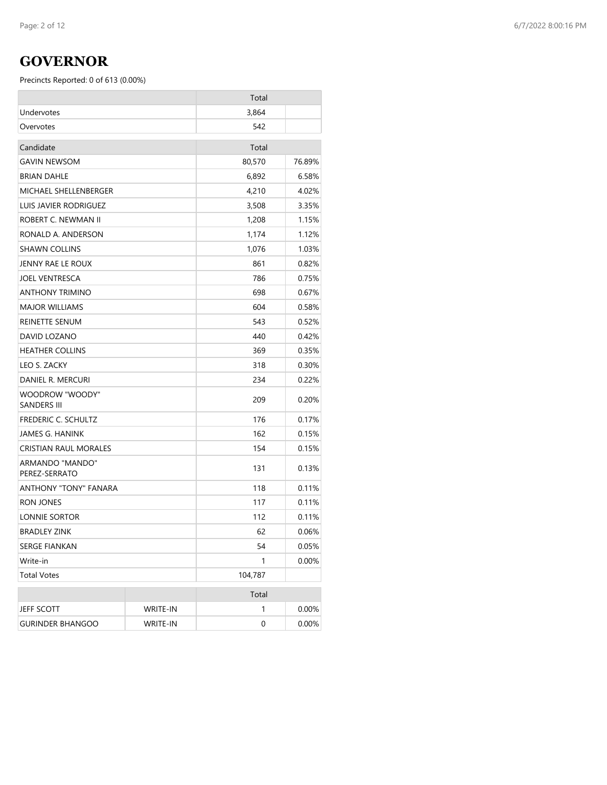### **GOVERNOR**

|                                       |                 | Total   |          |
|---------------------------------------|-----------------|---------|----------|
| Undervotes                            |                 | 3,864   |          |
| Overvotes                             |                 | 542     |          |
| Candidate                             |                 | Total   |          |
| <b>GAVIN NEWSOM</b>                   |                 | 80,570  | 76.89%   |
| <b>BRIAN DAHLE</b>                    |                 | 6,892   | 6.58%    |
| MICHAEL SHELLENBERGER                 |                 | 4,210   | 4.02%    |
| LUIS JAVIER RODRIGUEZ                 |                 | 3,508   | 3.35%    |
| ROBERT C. NEWMAN II                   |                 | 1,208   | 1.15%    |
| RONALD A. ANDERSON                    |                 | 1,174   | 1.12%    |
| <b>SHAWN COLLINS</b>                  |                 | 1,076   | 1.03%    |
| JENNY RAE LE ROUX                     |                 | 861     | 0.82%    |
| <b>JOEL VENTRESCA</b>                 |                 | 786     | 0.75%    |
| ANTHONY TRIMINO                       |                 | 698     | 0.67%    |
| <b>MAJOR WILLIAMS</b>                 |                 | 604     | 0.58%    |
| REINETTE SENUM                        |                 | 543     | 0.52%    |
| DAVID LOZANO                          |                 | 440     | 0.42%    |
| <b>HEATHER COLLINS</b>                |                 | 369     | 0.35%    |
| LEO S. ZACKY                          |                 | 318     | 0.30%    |
| DANIEL R. MERCURI                     |                 | 234     | 0.22%    |
| WOODROW "WOODY"<br><b>SANDERS III</b> |                 | 209     | 0.20%    |
| FREDERIC C. SCHULTZ                   |                 | 176     | 0.17%    |
| <b>JAMES G. HANINK</b>                |                 | 162     | 0.15%    |
| CRISTIAN RAUL MORALES                 |                 | 154     | 0.15%    |
| ARMANDO "MANDO"<br>PEREZ-SERRATO      |                 | 131     | 0.13%    |
| ANTHONY "TONY" FANARA                 |                 | 118     | 0.11%    |
| <b>RON JONES</b>                      |                 | 117     | 0.11%    |
| LONNIE SORTOR                         |                 | 112     | 0.11%    |
| <b>BRADLEY ZINK</b>                   |                 | 62      | 0.06%    |
| SERGE FIANKAN                         |                 | 54      | 0.05%    |
| Write-in                              |                 | 1       | $0.00\%$ |
| <b>Total Votes</b>                    |                 | 104,787 |          |
|                                       |                 | Total   |          |
| JEFF SCOTT                            | <b>WRITE-IN</b> | 1       | 0.00%    |
| <b>GURINDER BHANGOO</b>               | <b>WRITE-IN</b> | 0       | 0.00%    |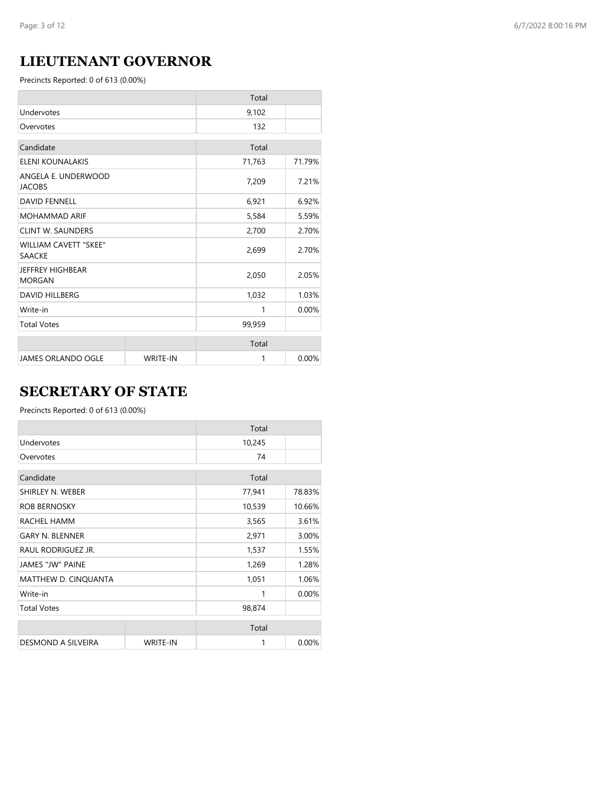## **LIEUTENANT GOVERNOR**

Precincts Reported: 0 of 613 (0.00%)

|                                               |                 | Total  |        |
|-----------------------------------------------|-----------------|--------|--------|
| Undervotes                                    |                 | 9,102  |        |
| Overvotes                                     |                 | 132    |        |
| Candidate                                     |                 | Total  |        |
| <b>ELENI KOUNALAKIS</b>                       |                 | 71,763 | 71.79% |
| ANGELA E. UNDERWOOD<br><b>JACOBS</b>          |                 | 7,209  | 7.21%  |
| <b>DAVID FENNELL</b>                          |                 | 6,921  | 6.92%  |
| <b>MOHAMMAD ARIF</b>                          |                 | 5,584  | 5.59%  |
| <b>CLINT W. SAUNDERS</b>                      |                 | 2,700  | 2.70%  |
| <b>WILLIAM CAVETT "SKEE"</b><br><b>SAACKE</b> |                 | 2,699  | 2.70%  |
| <b>JEFFREY HIGHBEAR</b><br><b>MORGAN</b>      |                 | 2,050  | 2.05%  |
| <b>DAVID HILLBERG</b>                         |                 | 1,032  | 1.03%  |
| Write-in                                      |                 | 1      | 0.00%  |
| <b>Total Votes</b>                            |                 | 99,959 |        |
|                                               |                 | Total  |        |
| <b>JAMES ORLANDO OGLE</b>                     | <b>WRITE-IN</b> | 1      | 0.00%  |

## **SECRETARY OF STATE**

|                         |                 | Total  |        |
|-------------------------|-----------------|--------|--------|
| Undervotes              |                 | 10,245 |        |
| Overvotes               |                 | 74     |        |
| Candidate               |                 | Total  |        |
| SHIRLEY N. WEBER        |                 | 77,941 | 78.83% |
| <b>ROB BERNOSKY</b>     |                 | 10,539 | 10.66% |
| RACHEL HAMM             |                 | 3,565  | 3.61%  |
| <b>GARY N. BLENNER</b>  |                 | 2,971  | 3.00%  |
| RAUL RODRIGUEZ JR.      |                 | 1,537  | 1.55%  |
| <b>JAMES "JW" PAINE</b> |                 | 1,269  | 1.28%  |
| MATTHEW D. CINQUANTA    |                 | 1,051  | 1.06%  |
| Write-in                |                 | 1      | 0.00%  |
| <b>Total Votes</b>      |                 | 98,874 |        |
|                         |                 | Total  |        |
| DESMOND A SILVEIRA      | <b>WRITE-IN</b> | 1      | 0.00%  |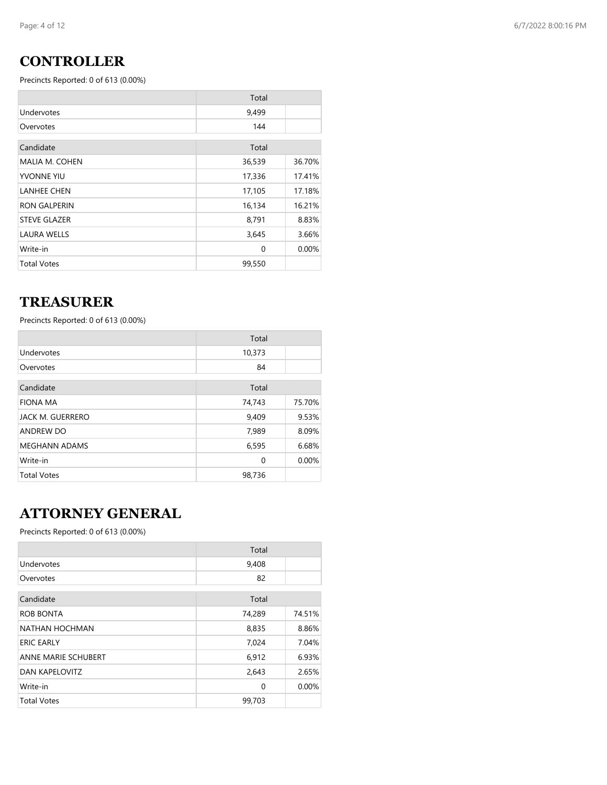## **CONTROLLER**

Precincts Reported: 0 of 613 (0.00%)

|                       | Total    |        |
|-----------------------|----------|--------|
| Undervotes            | 9,499    |        |
| Overvotes             | 144      |        |
| Candidate             | Total    |        |
| <b>MALIA M. COHEN</b> | 36,539   | 36.70% |
| <b>YVONNE YIU</b>     | 17,336   | 17.41% |
| <b>LANHEE CHEN</b>    | 17,105   | 17.18% |
| <b>RON GALPERIN</b>   | 16,134   | 16.21% |
| <b>STEVE GLAZER</b>   | 8,791    | 8.83%  |
| <b>LAURA WELLS</b>    | 3,645    | 3.66%  |
| Write-in              | $\Omega$ | 0.00%  |
| <b>Total Votes</b>    | 99,550   |        |

### **TREASURER**

Precincts Reported: 0 of 613 (0.00%)

|                      | Total  |        |
|----------------------|--------|--------|
| Undervotes           | 10,373 |        |
| Overvotes            | 84     |        |
| Candidate            | Total  |        |
| <b>FIONA MA</b>      | 74,743 | 75.70% |
| JACK M. GUERRERO     | 9,409  | 9.53%  |
| ANDREW DO            | 7,989  | 8.09%  |
| <b>MEGHANN ADAMS</b> | 6,595  | 6.68%  |
| Write-in             | 0      | 0.00%  |
| <b>Total Votes</b>   | 98,736 |        |

## **ATTORNEY GENERAL**

|                            | Total  |        |
|----------------------------|--------|--------|
| Undervotes                 | 9,408  |        |
| Overvotes                  | 82     |        |
| Candidate                  | Total  |        |
| ROB BONTA                  | 74,289 | 74.51% |
| NATHAN HOCHMAN             | 8,835  | 8.86%  |
| <b>ERIC EARLY</b>          | 7,024  | 7.04%  |
| <b>ANNE MARIE SCHUBERT</b> | 6,912  | 6.93%  |
| <b>DAN KAPELOVITZ</b>      | 2,643  | 2.65%  |
| Write-in                   | 0      | 0.00%  |
| <b>Total Votes</b>         | 99,703 |        |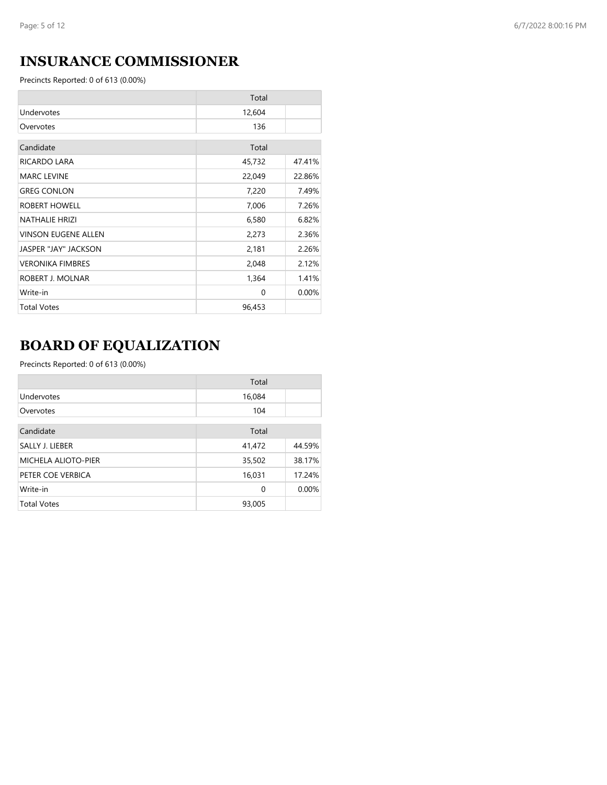## **INSURANCE COMMISSIONER**

Precincts Reported: 0 of 613 (0.00%)

|                            | Total  |        |
|----------------------------|--------|--------|
| Undervotes                 | 12,604 |        |
| Overvotes                  | 136    |        |
| Candidate                  | Total  |        |
| RICARDO LARA               | 45,732 | 47.41% |
| <b>MARC LEVINE</b>         | 22,049 | 22.86% |
| <b>GREG CONLON</b>         | 7,220  | 7.49%  |
| ROBERT HOWELL              | 7,006  | 7.26%  |
| <b>NATHALIE HRIZI</b>      | 6,580  | 6.82%  |
| <b>VINSON EUGENE ALLEN</b> | 2,273  | 2.36%  |
| JASPER "JAY" JACKSON       | 2,181  | 2.26%  |
| <b>VERONIKA FIMBRES</b>    | 2,048  | 2.12%  |
| ROBERT J. MOLNAR           | 1,364  | 1.41%  |
| Write-in                   | 0      | 0.00%  |
| <b>Total Votes</b>         | 96,453 |        |

# **BOARD OF EQUALIZATION**

|                     | Total       |        |
|---------------------|-------------|--------|
| Undervotes          | 16,084      |        |
| Overvotes           | 104         |        |
|                     |             |        |
| Candidate           | Total       |        |
| SALLY J. LIEBER     | 41,472      | 44.59% |
| MICHELA ALIOTO-PIER | 35,502      | 38.17% |
| PETER COE VERBICA   | 16,031      | 17.24% |
| Write-in            | $\mathbf 0$ | 0.00%  |
| <b>Total Votes</b>  | 93,005      |        |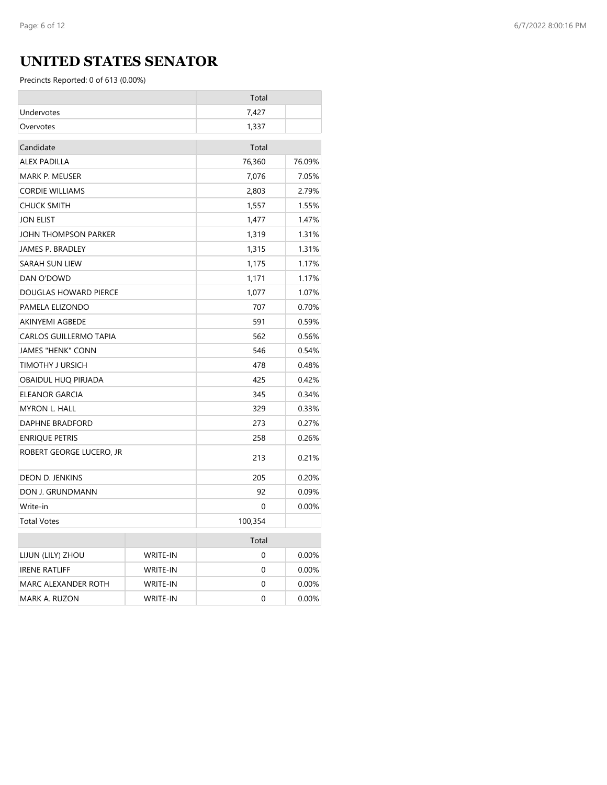## **UNITED STATES SENATOR**

|                                 |                 | Total   |        |
|---------------------------------|-----------------|---------|--------|
| Undervotes                      |                 | 7,427   |        |
| Overvotes                       |                 | 1,337   |        |
| Candidate                       |                 | Total   |        |
| <b>ALEX PADILLA</b>             |                 | 76,360  | 76.09% |
| MARK P. MEUSER                  |                 | 7,076   | 7.05%  |
| <b>CORDIE WILLIAMS</b>          |                 | 2,803   | 2.79%  |
| <b>CHUCK SMITH</b>              |                 | 1,557   | 1.55%  |
| <b>JON ELIST</b>                |                 | 1,477   | 1.47%  |
| JOHN THOMPSON PARKER            |                 | 1,319   | 1.31%  |
| JAMES P. BRADLEY                |                 | 1,315   | 1.31%  |
| <b>SARAH SUN LIEW</b>           |                 | 1,175   | 1.17%  |
| DAN O'DOWD                      |                 | 1,171   | 1.17%  |
| DOUGLAS HOWARD PIERCE           |                 | 1,077   | 1.07%  |
| PAMELA ELIZONDO                 |                 | 707     | 0.70%  |
| AKINYEMI AGBEDE                 |                 | 591     | 0.59%  |
| <b>CARLOS GUILLERMO TAPIA</b>   |                 | 562     | 0.56%  |
| <b>JAMES "HENK" CONN</b>        |                 | 546     | 0.54%  |
| TIMOTHY J URSICH                |                 | 478     | 0.48%  |
| OBAIDUL HUQ PIRJADA             |                 | 425     | 0.42%  |
| <b>ELEANOR GARCIA</b>           |                 | 345     | 0.34%  |
| <b>MYRON L. HALL</b>            |                 | 329     | 0.33%  |
| <b>DAPHNE BRADFORD</b>          |                 | 273     | 0.27%  |
| <b>ENRIQUE PETRIS</b>           |                 | 258     | 0.26%  |
| ROBERT GEORGE LUCERO, JR        |                 | 213     | 0.21%  |
| DEON D. JENKINS                 |                 | 205     | 0.20%  |
| DON J. GRUNDMANN                |                 | 92      | 0.09%  |
| Write-in                        |                 | 0       | 0.00%  |
| <b>Total Votes</b>              |                 | 100,354 |        |
|                                 |                 | Total   |        |
| LIJUN (LILY) ZHOU               | <b>WRITE-IN</b> | 0       | 0.00%  |
| <b>IRENE RATLIFF</b>            | <b>WRITE-IN</b> | 0       | 0.00%  |
| MARC ALEXANDER ROTH<br>WRITE-IN |                 | 0       | 0.00%  |
| MARK A. RUZON                   | <b>WRITE-IN</b> | 0       | 0.00%  |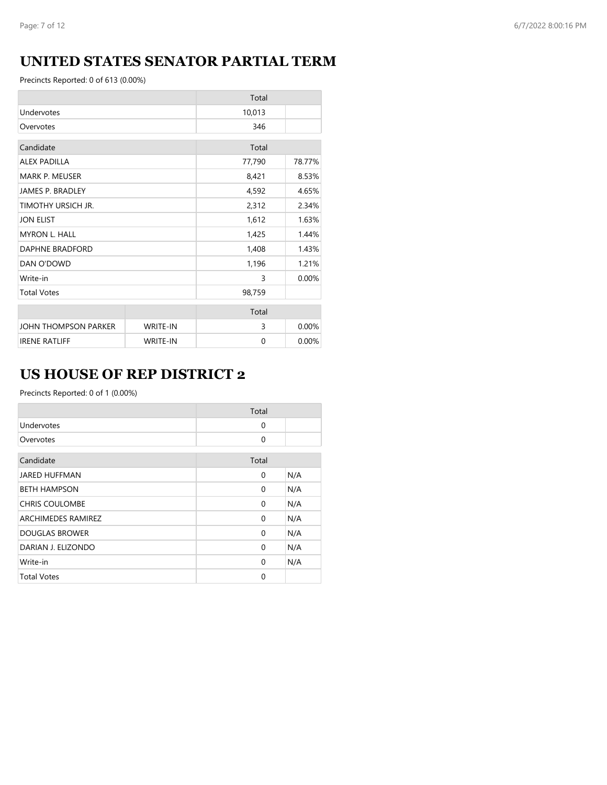## **UNITED STATES SENATOR PARTIAL TERM**

Precincts Reported: 0 of 613 (0.00%)

|                         |                 | Total  |          |
|-------------------------|-----------------|--------|----------|
| Undervotes              |                 | 10,013 |          |
| Overvotes               |                 | 346    |          |
| Candidate               |                 | Total  |          |
| <b>ALEX PADILLA</b>     |                 | 77,790 | 78.77%   |
| <b>MARK P. MEUSER</b>   |                 | 8,421  | 8.53%    |
| <b>JAMES P. BRADLEY</b> |                 | 4,592  | 4.65%    |
| TIMOTHY URSICH JR.      |                 | 2,312  | 2.34%    |
| <b>JON ELIST</b>        |                 | 1,612  | 1.63%    |
| <b>MYRON L. HALL</b>    |                 | 1,425  | 1.44%    |
| DAPHNE BRADFORD         |                 | 1,408  | 1.43%    |
| DAN O'DOWD              |                 | 1,196  | 1.21%    |
| Write-in                |                 | 3      | 0.00%    |
| <b>Total Votes</b>      |                 | 98,759 |          |
|                         |                 | Total  |          |
| JOHN THOMPSON PARKER    | <b>WRITE-IN</b> | 3      | 0.00%    |
| <b>IRENE RATLIFF</b>    | <b>WRITE-IN</b> | 0      | $0.00\%$ |

## **US HOUSE OF REP DISTRICT 2**

|                       | Total    |     |
|-----------------------|----------|-----|
| Undervotes            | $\Omega$ |     |
| Overvotes             | $\Omega$ |     |
| Candidate             | Total    |     |
| <b>JARED HUFFMAN</b>  | 0        | N/A |
| <b>BETH HAMPSON</b>   | 0        | N/A |
| <b>CHRIS COULOMBE</b> | $\Omega$ | N/A |
| ARCHIMEDES RAMIREZ    | $\Omega$ | N/A |
| <b>DOUGLAS BROWER</b> | $\Omega$ | N/A |
| DARIAN J. ELIZONDO    | 0        | N/A |
| Write-in              | $\Omega$ | N/A |
| <b>Total Votes</b>    | $\Omega$ |     |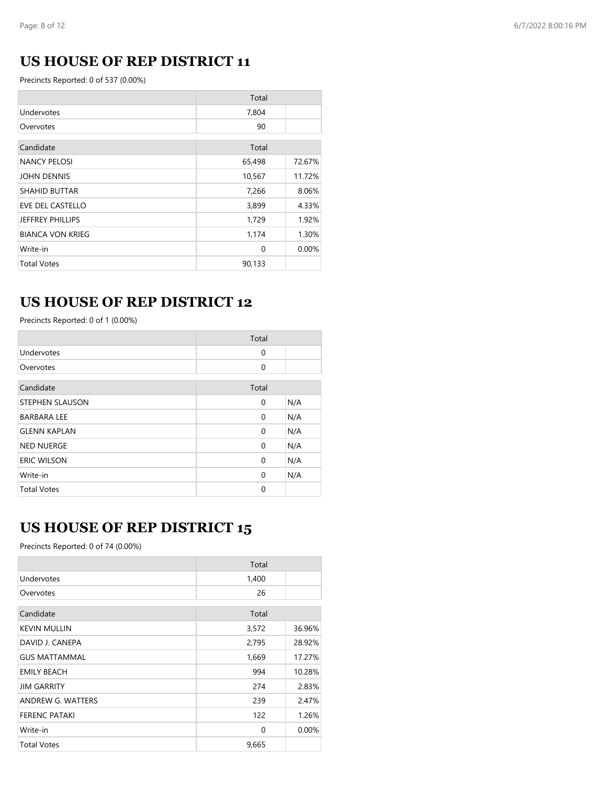## **US HOUSE OF REP DISTRICT 11**

Precincts Reported: 0 of 537 (0.00%)

|                         | Total    |        |
|-------------------------|----------|--------|
| Undervotes              | 7,804    |        |
| Overvotes               | 90       |        |
| Candidate               | Total    |        |
| <b>NANCY PELOSI</b>     | 65,498   | 72.67% |
| <b>JOHN DENNIS</b>      | 10,567   | 11.72% |
| <b>SHAHID BUTTAR</b>    | 7,266    | 8.06%  |
| <b>EVE DEL CASTELLO</b> | 3,899    | 4.33%  |
| <b>JEFFREY PHILLIPS</b> | 1,729    | 1.92%  |
| <b>BIANCA VON KRIEG</b> | 1,174    | 1.30%  |
| Write-in                | $\Omega$ | 0.00%  |
| <b>Total Votes</b>      | 90,133   |        |

## **US HOUSE OF REP DISTRICT 12**

Precincts Reported: 0 of 1 (0.00%)

|                        | Total    |     |
|------------------------|----------|-----|
| Undervotes             | 0        |     |
| Overvotes              | 0        |     |
| Candidate              | Total    |     |
| <b>STEPHEN SLAUSON</b> | 0        | N/A |
| <b>BARBARA LEE</b>     | 0        | N/A |
| <b>GLENN KAPLAN</b>    | 0        | N/A |
| <b>NED NUERGE</b>      | 0        | N/A |
| <b>ERIC WILSON</b>     | 0        | N/A |
| Write-in               | $\Omega$ | N/A |
| <b>Total Votes</b>     | 0        |     |

### **US HOUSE OF REP DISTRICT 15**

|                      | Total |        |
|----------------------|-------|--------|
| Undervotes           | 1,400 |        |
| Overvotes            | 26    |        |
| Candidate            | Total |        |
| <b>KEVIN MULLIN</b>  | 3,572 | 36.96% |
| DAVID J. CANEPA      | 2,795 | 28.92% |
| <b>GUS MATTAMMAL</b> | 1,669 | 17.27% |
| <b>EMILY BEACH</b>   | 994   | 10.28% |
| <b>JIM GARRITY</b>   | 274   | 2.83%  |
| ANDREW G. WATTERS    | 239   | 2.47%  |
| <b>FERENC PATAKI</b> | 122   | 1.26%  |
| Write-in             | 0     | 0.00%  |
| <b>Total Votes</b>   | 9,665 |        |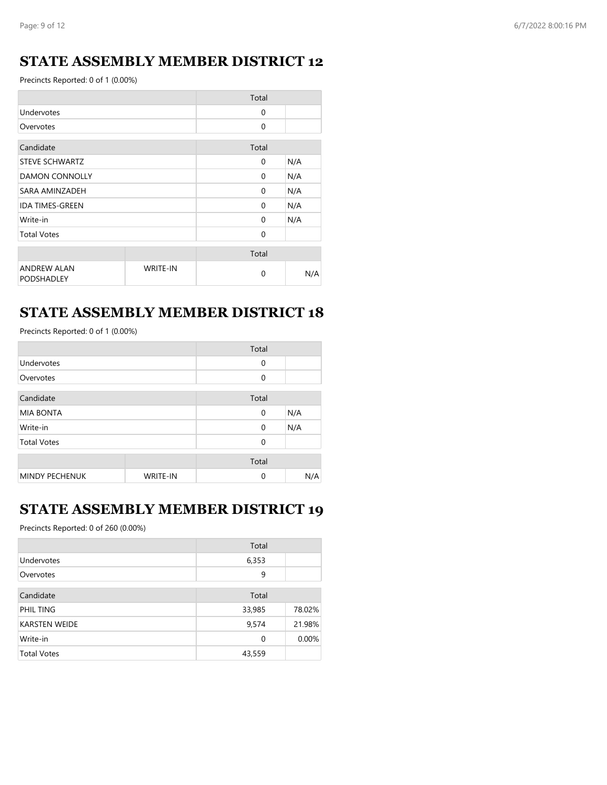### **STATE ASSEMBLY MEMBER DISTRICT 12**

Precincts Reported: 0 of 1 (0.00%)

|                                         |                 | Total        |     |
|-----------------------------------------|-----------------|--------------|-----|
| Undervotes                              |                 | $\Omega$     |     |
| Overvotes                               |                 | $\mathbf{0}$ |     |
| Candidate                               |                 | Total        |     |
| <b>STEVE SCHWARTZ</b>                   |                 | $\Omega$     | N/A |
| <b>DAMON CONNOLLY</b>                   |                 | $\Omega$     | N/A |
| SARA AMINZADEH                          |                 | $\Omega$     | N/A |
| <b>IDA TIMES-GREEN</b>                  |                 | $\Omega$     | N/A |
| Write-in                                |                 | $\Omega$     | N/A |
| <b>Total Votes</b>                      |                 | $\Omega$     |     |
|                                         |                 | Total        |     |
| <b>ANDREW ALAN</b><br><b>PODSHADLEY</b> | <b>WRITE-IN</b> | $\Omega$     | N/A |

### **STATE ASSEMBLY MEMBER DISTRICT 18**

Precincts Reported: 0 of 1 (0.00%)

|                       |                 | Total       |     |
|-----------------------|-----------------|-------------|-----|
| Undervotes            |                 | $\mathbf 0$ |     |
| Overvotes             |                 | 0           |     |
| Candidate             |                 | Total       |     |
| <b>MIA BONTA</b>      |                 | $\mathbf 0$ | N/A |
| Write-in              |                 | $\mathbf 0$ | N/A |
| <b>Total Votes</b>    |                 | $\Omega$    |     |
|                       |                 | Total       |     |
| <b>MINDY PECHENUK</b> | <b>WRITE-IN</b> | $\Omega$    | N/A |

### **STATE ASSEMBLY MEMBER DISTRICT 19**

|                      | Total  |        |
|----------------------|--------|--------|
| Undervotes           | 6,353  |        |
| Overvotes            | 9      |        |
|                      |        |        |
| Candidate            | Total  |        |
| PHIL TING            | 33,985 | 78.02% |
| <b>KARSTEN WEIDE</b> | 9,574  | 21.98% |
| Write-in             | 0      | 0.00%  |
| <b>Total Votes</b>   | 43,559 |        |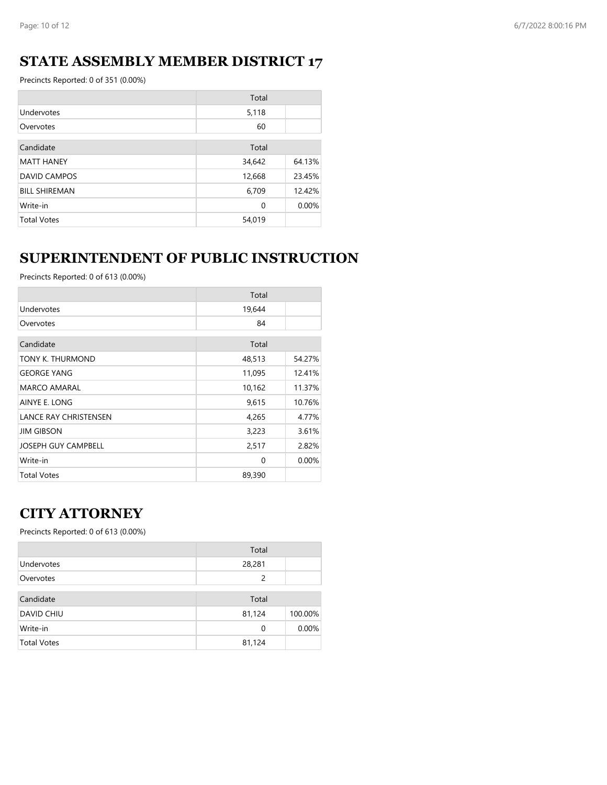### **STATE ASSEMBLY MEMBER DISTRICT 17**

Precincts Reported: 0 of 351 (0.00%)

|                      | Total  |        |
|----------------------|--------|--------|
| Undervotes           | 5,118  |        |
| Overvotes            | 60     |        |
| Candidate            | Total  |        |
|                      |        |        |
| <b>MATT HANEY</b>    | 34,642 | 64.13% |
| <b>DAVID CAMPOS</b>  | 12,668 | 23.45% |
| <b>BILL SHIREMAN</b> | 6,709  | 12.42% |
| Write-in             | 0      | 0.00%  |
| <b>Total Votes</b>   | 54,019 |        |

## **SUPERINTENDENT OF PUBLIC INSTRUCTION**

Precincts Reported: 0 of 613 (0.00%)

|                              | Total    |        |
|------------------------------|----------|--------|
| Undervotes                   | 19,644   |        |
| Overvotes                    | 84       |        |
| Candidate                    | Total    |        |
| TONY K. THURMOND             | 48,513   | 54.27% |
| <b>GEORGE YANG</b>           | 11,095   | 12.41% |
| MARCO AMARAL                 | 10,162   | 11.37% |
| AINYE E. LONG                | 9,615    | 10.76% |
| <b>LANCE RAY CHRISTENSEN</b> | 4,265    | 4.77%  |
| <b>JIM GIBSON</b>            | 3,223    | 3.61%  |
| <b>JOSEPH GUY CAMPBELL</b>   | 2,517    | 2.82%  |
| Write-in                     | $\Omega$ | 0.00%  |
| <b>Total Votes</b>           | 89,390   |        |

### **CITY ATTORNEY**

|                    | Total  |         |
|--------------------|--------|---------|
| Undervotes         | 28,281 |         |
| Overvotes          | 2      |         |
| Candidate          | Total  |         |
| <b>DAVID CHIU</b>  | 81,124 | 100.00% |
| Write-in           | 0      | 0.00%   |
| <b>Total Votes</b> | 81,124 |         |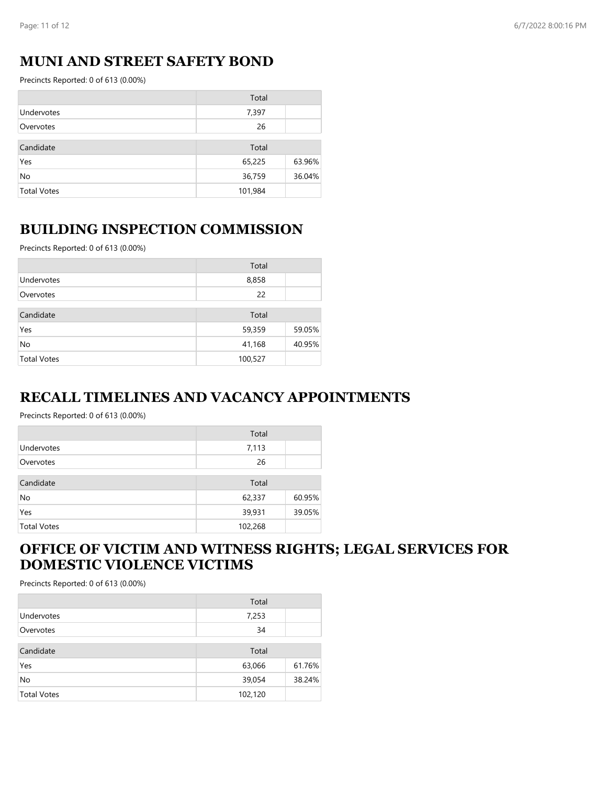#### **MUNI AND STREET SAFETY BOND**

Precincts Reported: 0 of 613 (0.00%)

|                    | Total   |        |
|--------------------|---------|--------|
| Undervotes         | 7,397   |        |
| Overvotes          | 26      |        |
| Candidate          | Total   |        |
| Yes                | 65,225  | 63.96% |
| No                 | 36,759  | 36.04% |
| <b>Total Votes</b> | 101,984 |        |

#### **BUILDING INSPECTION COMMISSION**

Precincts Reported: 0 of 613 (0.00%)

|                    | Total   |        |
|--------------------|---------|--------|
| Undervotes         | 8,858   |        |
| Overvotes          | 22      |        |
| Candidate          | Total   |        |
| Yes                | 59,359  | 59.05% |
| No                 | 41,168  | 40.95% |
| <b>Total Votes</b> | 100,527 |        |

#### **RECALL TIMELINES AND VACANCY APPOINTMENTS**

Precincts Reported: 0 of 613 (0.00%)

|                    | Total   |        |
|--------------------|---------|--------|
| Undervotes         | 7,113   |        |
| Overvotes          | 26      |        |
| Candidate          | Total   |        |
| No                 | 62,337  | 60.95% |
| Yes                | 39,931  | 39.05% |
| <b>Total Votes</b> | 102,268 |        |

#### **OFFICE OF VICTIM AND WITNESS RIGHTS; LEGAL SERVICES FOR DOMESTIC VIOLENCE VICTIMS**

|                    | Total   |        |
|--------------------|---------|--------|
| Undervotes         | 7,253   |        |
| Overvotes          | 34      |        |
| Candidate          | Total   |        |
| Yes                | 63,066  | 61.76% |
| No                 | 39,054  | 38.24% |
| <b>Total Votes</b> | 102,120 |        |